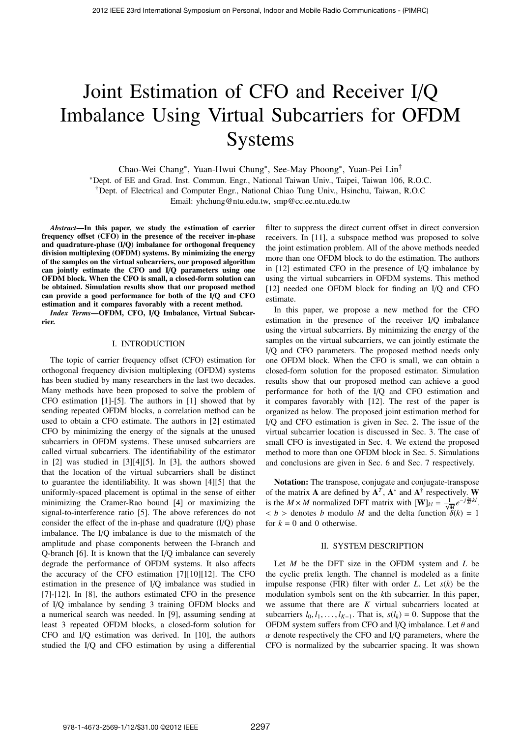# Joint Estimation of CFO and Receiver I/Q Imbalance Using Virtual Subcarriers for OFDM Systems

Chao-Wei Chang∗, Yuan-Hwui Chung∗, See-May Phoong∗, Yuan-Pei Lin† <sup>∗</sup>Dept. of EE and Grad. Inst. Commun. Engr., National Taiwan Univ., Taipei, Taiwan 106, R.O.C. †Dept. of Electrical and Computer Engr., National Chiao Tung Univ., Hsinchu, Taiwan, R.O.C Email: yhchung@ntu.edu.tw, smp@cc.ee.ntu.edu.tw

*Abstract*—In this paper, we study the estimation of carrier frequency offset  $(CFO)$  in the presence of the receiver in-phase and quadrature-phase (I/Q) imbalance for orthogonal frequency division multiplexing (OFDM) systems. By minimizing the energy of the samples on the virtual subcarriers, our proposed algorithm can jointly estimate the CFO and I/Q parameters using one OFDM block. When the CFO is small, a closed-form solution can be obtained. Simulation results show that our proposed method can provide a good performance for both of the I/Q and CFO estimation and it compares favorably with a recent method.

*Index Terms*—OFDM, CFO, I/Q Imbalance, Virtual Subcarrier.

### I. INTRODUCTION

The topic of carrier frequency offset (CFO) estimation for orthogonal frequency division multiplexing (OFDM) systems has been studied by many researchers in the last two decades. Many methods have been proposed to solve the problem of CFO estimation [1]-[5]. The authors in [1] showed that by sending repeated OFDM blocks, a correlation method can be used to obtain a CFO estimate. The authors in [2] estimated CFO by minimizing the energy of the signals at the unused subcarriers in OFDM systems. These unused subcarriers are called virtual subcarriers. The identifiability of the estimator in [2] was studied in [3][4][5]. In [3], the authors showed that the location of the virtual subcarriers shall be distinct to guarantee the identifiability. It was shown [4][5] that the uniformly-spaced placement is optimal in the sense of either minimizing the Cramer-Rao bound [4] or maximizing the signal-to-interference ratio [5]. The above references do not consider the effect of the in-phase and quadrature (I/Q) phase imbalance. The I/Q imbalance is due to the mismatch of the amplitude and phase components between the I-branch and Q-branch [6]. It is known that the I/Q imbalance can severely degrade the performance of OFDM systems. It also affects the accuracy of the CFO estimation [7][10][12]. The CFO estimation in the presence of I/Q imbalance was studied in [7]-[12]. In [8], the authors estimated CFO in the presence of I/Q imbalance by sending 3 training OFDM blocks and a numerical search was needed. In [9], assuming sending at least 3 repeated OFDM blocks, a closed-form solution for CFO and I/Q estimation was derived. In [10], the authors studied the I/Q and CFO estimation by using a differential

filter to suppress the direct current offset in direct conversion receivers. In [11], a subspace method was proposed to solve the joint estimation problem. All of the above methods needed more than one OFDM block to do the estimation. The authors in [12] estimated CFO in the presence of I/Q imbalance by using the virtual subcarriers in OFDM systems. This method [12] needed one OFDM block for finding an I/Q and CFO estimate.

In this paper, we propose a new method for the CFO estimation in the presence of the receiver I/Q imbalance using the virtual subcarriers. By minimizing the energy of the samples on the virtual subcarriers, we can jointly estimate the I/Q and CFO parameters. The proposed method needs only one OFDM block. When the CFO is small, we can obtain a closed-form solution for the proposed estimator. Simulation results show that our proposed method can achieve a good performance for both of the I/Q and CFO estimation and it compares favorably with [12]. The rest of the paper is organized as below. The proposed joint estimation method for I/Q and CFO estimation is given in Sec. 2. The issue of the virtual subcarrier location is discussed in Sec. 3. The case of small CFO is investigated in Sec. 4. We extend the proposed method to more than one OFDM block in Sec. 5. Simulations and conclusions are given in Sec. 6 and Sec. 7 respectively.

Notation: The transpose, conjugate and conjugate-transpose of the matrix **A** are defined by  $A^T$ ,  $A^*$  and  $A^{\dagger}$  respectively. W is the *M* × *M* normalized DFT matrix with  $[\mathbf{W}]_{kl} = \frac{1}{\sqrt{M}} e^{-j\frac{2\pi}{M}kl}$ .  **> denotes** *b* **modulo** *M* **and the delta function**  $\ddot{\delta}(k) = 1$ for  $k = 0$  and 0 otherwise.

#### II. SYSTEM DESCRIPTION

Let *M* be the DFT size in the OFDM system and *L* be the cyclic prefix length. The channel is modeled as a finite impulse response (FIR) filter with order *L*. Let *s*(*k*) be the modulation symbols sent on the *k*th subcarrier. In this paper, we assume that there are *K* virtual subcarriers located at subcarriers  $l_0, l_1, \ldots, l_{K-1}$ . That is,  $s(l_k) = 0$ . Suppose that the OFDM system suffers from CFO and I/Q imbalance. Let  $\theta$  and  $\alpha$  denote respectively the CFO and I/Q parameters, where the CFO is normalized by the subcarrier spacing. It was shown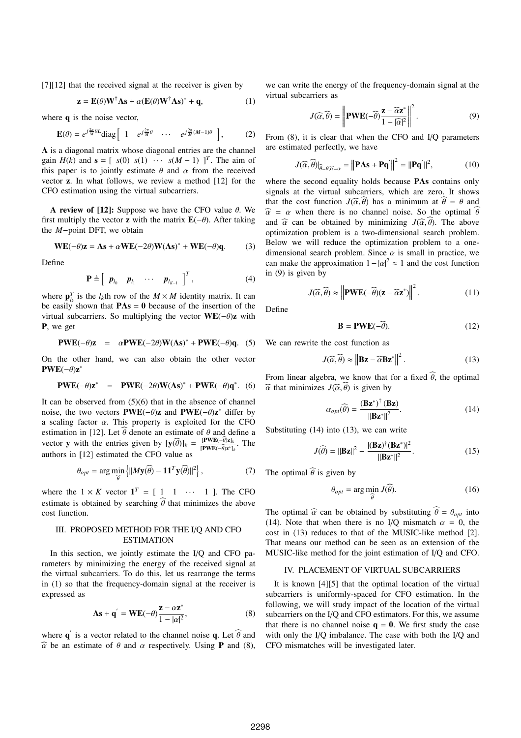[7][12] that the received signal at the receiver is given by

$$
\mathbf{z} = \mathbf{E}(\theta) \mathbf{W}^{\dagger} \mathbf{\Lambda} \mathbf{s} + \alpha (\mathbf{E}(\theta) \mathbf{W}^{\dagger} \mathbf{\Lambda} \mathbf{s})^* + \mathbf{q}, \tag{1}
$$

where **q** is the noise vector,

$$
\mathbf{E}(\theta) = e^{j\frac{2\pi}{M}\theta L} \text{diag} \begin{bmatrix} 1 & e^{j\frac{2\pi}{M}\theta} & \cdots & e^{j\frac{2\pi}{M}(M-1)\theta} \end{bmatrix},
$$
 (2)

 $\Lambda$  is a diagonal matrix whose diagonal entries are the channel gain  $H(k)$  and  $\mathbf{s} = [s(0), s(1), \cdots, s(M-1), ]^T$ . The aim of this paper is to jointly estimate  $\theta$  and  $\alpha$  from the received vector z. In what follows, we review a method [12] for the CFO estimation using the virtual subcarriers.

A review of [12]: Suppose we have the CFO value  $\theta$ . We first multiply the vector **z** with the matrix  $\mathbf{E}(-\theta)$ . After taking the *M*−point DFT, we obtain

$$
WE(-\theta)z = \Lambda s + \alpha WE(-2\theta)W(\Lambda s)^* + WE(-\theta)q.
$$
 (3)

Define

$$
\mathbf{P} \triangleq \left[ \begin{array}{cccc} \boldsymbol{p}_{l_0} & \boldsymbol{p}_{l_1} & \cdots & \boldsymbol{p}_{l_{K-1}} \end{array} \right]^T, \tag{4}
$$

where  $\mathbf{p}_{l_k}^T$  is the  $l_k$ th row of the  $M \times M$  identity matrix. It can be easily shown that  $P\Lambda s = 0$  because of the insertion of the virtual subcarriers. So multiplying the vector  $WE(-\theta)z$  with P, we get

$$
PWE(-\theta)z = \alpha PWE(-2\theta)W(\Lambda s)^* + PWE(-\theta)q.
$$
 (5)

On the other hand, we can also obtain the other vector  $PWE(-\theta)z^*$ 

$$
PWE(-\theta)\mathbf{z}^* = PWE(-2\theta)W(\Lambda s)^* + PWE(-\theta)\mathbf{q}^*.
$$
 (6)

It can be observed from  $(5)(6)$  that in the absence of channel noise, the two vectors **PWE**(− $\theta$ )**z** and **PWE**(− $\theta$ )**z**<sup>\*</sup> differ by a scaling factor  $\alpha$ . This property is exploited for the CFO estimation in [12]. Let  $\theta$  denote an estimate of  $\theta$  and define a vector y with the entries given by  $[\mathbf{y}(\widehat{\theta})]_k = \frac{[\mathbf{PWE}(-\widehat{\theta})\mathbf{z}]_k}{[\mathbf{PWE}(-\widehat{\theta})\mathbf{z}^*]_k}$ . The authors in [12] estimated the CFO value as

$$
\theta_{opt} = \arg\min_{\widehat{\theta}} \left\{ ||M\mathbf{y}(\widehat{\theta}) - \mathbf{1}\mathbf{1}^T\mathbf{y}(\widehat{\theta})||^2 \right\},\tag{7}
$$

where the  $1 \times K$  vector  $\mathbf{1}^T = [1 \ 1 \ \cdots \ 1]$ . The CFO estimate is obtained by searching  $\widehat{\theta}$  that minimizes the above cost function.

## III. PROPOSED METHOD FOR THE I/Q AND CFO ESTIMATION

In this section, we jointly estimate the I/Q and CFO parameters by minimizing the energy of the received signal at the virtual subcarriers. To do this, let us rearrange the terms in (1) so that the frequency-domain signal at the receiver is expressed as

$$
\Lambda s + \mathbf{q}' = \mathbf{W} \mathbf{E}(-\theta) \frac{\mathbf{z} - \alpha \mathbf{z}^*}{1 - |\alpha|^2},
$$
 (8)

where  $\mathbf{q}'$  is a vector related to the channel noise  $\mathbf{q}$ . Let  $\widehat{\theta}$  and  $\widehat{\alpha}$  be an estimate of  $\theta$  and  $\alpha$  respectively. Using **P** and (8), we can write the energy of the frequency-domain signal at the virtual subcarriers as

$$
J(\widehat{\alpha}, \widehat{\theta}) = \left\| \mathbf{PWE}(-\widehat{\theta}) \frac{\mathbf{z} - \widehat{\alpha} \mathbf{z}^*}{1 - |\widehat{\alpha}|^2} \right\|^2.
$$
 (9)

From (8), it is clear that when the CFO and I/Q parameters are estimated perfectly, we have

$$
J(\widehat{\alpha}, \widehat{\theta})|_{\widehat{\theta} = \theta, \widehat{\alpha} = \alpha} = \left\| \mathbf{P} \mathbf{\Lambda} \mathbf{s} + \mathbf{P} \mathbf{q}' \right\|^2 = \left\| \mathbf{P} \mathbf{q}' \right\|^2, \tag{10}
$$

where the second equality holds because PΛs contains only signals at the virtual subcarriers, which are zero. It shows that the cost function  $J(\widehat{\alpha}, \widehat{\theta})$  has a minimum at  $\widehat{\theta} = \theta$  and  $\hat{\alpha}$  =  $\alpha$  when there is no channel noise. So the optimal  $\hat{\theta}$ and  $\hat{\alpha}$  can be obtained by minimizing  $J(\hat{\alpha}, \hat{\theta})$ . The above optimization problem is a two-dimensional search problem. Below we will reduce the optimization problem to a onedimensional search problem. Since  $\alpha$  is small in practice, we can make the approximation  $1 - |\alpha|^2 \approx 1$  and the cost function in (9) is given by

$$
J(\widehat{\alpha}, \widehat{\theta}) \approx \left\| \mathbf{PWE}(-\widehat{\theta})(\mathbf{z} - \widehat{\alpha} \mathbf{z}^*) \right\|^2.
$$
 (11)

Define

$$
\mathbf{B} = \mathbf{PWE}(-\widehat{\theta}).\tag{12}
$$

We can rewrite the cost function as

$$
J(\widehat{\alpha}, \widehat{\theta}) \approx \left\| \mathbf{Bz} - \widehat{\alpha} \mathbf{Bz}^* \right\|^2. \tag{13}
$$

From linear algebra, we know that for a fixed  $\hat{\theta}$ , the optimal  $\widehat{\alpha}$  that minimizes  $J(\widehat{\alpha}, \widehat{\theta})$  is given by

$$
\alpha_{opt}(\widehat{\theta}) = \frac{(\mathbf{Bz}^*)^{\dagger}(\mathbf{Bz})}{\|\mathbf{Bz}^*\|^2}.
$$
 (14)

Substituting (14) into (13), we can write

$$
J(\widehat{\theta}) = ||\mathbf{B}\mathbf{z}||^2 - \frac{|(\mathbf{B}\mathbf{z})^{\dagger}(\mathbf{B}\mathbf{z}^*)|^2}{||\mathbf{B}\mathbf{z}^*||^2}.
$$
 (15)

The optimal  $\widehat{\theta}$  is given by

$$
\theta_{opt} = \arg\min_{\widehat{\theta}} J(\widehat{\theta}).
$$
\n(16)

The optimal  $\hat{\alpha}$  can be obtained by substituting  $\hat{\theta} = \theta_{opt}$  into (14). Note that when there is no I/Q mismatch  $\alpha = 0$ , the cost in (13) reduces to that of the MUSIC-like method [2]. That means our method can be seen as an extension of the MUSIC-like method for the joint estimation of I/Q and CFO.

### IV. PLACEMENT OF VIRTUAL SUBCARRIERS

It is known [4][5] that the optimal location of the virtual subcarriers is uniformly-spaced for CFO estimation. In the following, we will study impact of the location of the virtual subcarriers on the I/Q and CFO estimators. For this, we assume that there is no channel noise  $q = 0$ . We first study the case with only the I/Q imbalance. The case with both the I/Q and CFO mismatches will be investigated later.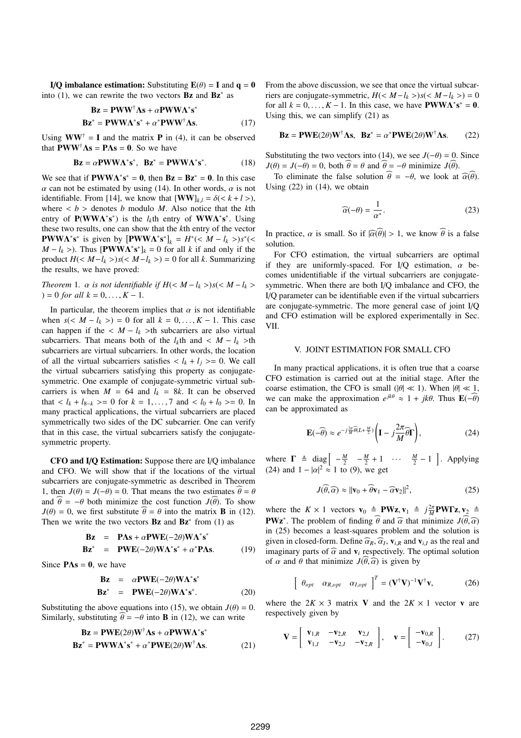I/Q imbalance estimation: Substituting  $E(\theta) = I$  and  $q = 0$ into (1), we can rewrite the two vectors  $Bz$  and  $Bz^*$  as

$$
\mathbf{Bz} = \mathbf{PWW}^{\dagger}\mathbf{\Lambda s} + \alpha \mathbf{PWW}\mathbf{\Lambda}^* \mathbf{s}^*
$$
  

$$
\mathbf{Bz}^* = \mathbf{PWW}\mathbf{\Lambda}^* \mathbf{s}^* + \alpha^* \mathbf{PWW}^{\dagger}\mathbf{\Lambda s}.
$$
 (17)

Using  $WW^{\dagger} = I$  and the matrix **P** in (4), it can be observed that  $\mathbf{P} \mathbf{W} \mathbf{W}^{\dagger} \mathbf{\Lambda} \mathbf{s} = \mathbf{P} \mathbf{\Lambda} \mathbf{s} = \mathbf{0}$ . So we have

$$
\mathbf{Bz} = \alpha \mathbf{P} \mathbf{W} \mathbf{W} \mathbf{\Lambda}^* \mathbf{s}^*, \quad \mathbf{Bz}^* = \mathbf{P} \mathbf{W} \mathbf{W} \mathbf{\Lambda}^* \mathbf{s}^*.
$$
 (18)

We see that if  $\text{PWW}\Lambda^* \mathbf{s}^* = \mathbf{0}$ , then  $\text{Bz} = \text{Bz}^* = \mathbf{0}$ . In this case  $\alpha$  can not be estimated by using (14). In other words,  $\alpha$  is not identifiable. From [14], we know that  $[\mathbf{WW}]_{k,l} = \delta(\langle k+l \rangle)$ , where  $\langle b \rangle$  denotes *b* modulo *M*. Also notice that the *k*th entry of  $P(WWA^*s^*)$  is the *l<sub>k</sub>*th entry of  $WWA^*s^*$ . Using these two results, one can show that the *k*th entry of the vector **PWWΛ<sup>\*</sup>s<sup>\*</sup>** is given by  $[{\bf PWWA}^*{\bf s}^*]_k = H^*() s^*$ (<  $M - l_k$  >). Thus  $[\mathbf{PWWA}^* \mathbf{s}^*]_k = 0$  for all *k* if and only if the product  $H \left( \langle M - l_k \rangle \right) s \left( \langle M - l_k \rangle \right) = 0$  for all *k*. Summarizing the results, we have proved:

*Theorem* 1*.*  $\alpha$  *is not identifiable if*  $H \leq M - l_k$  >  $s \leq M - l_k$  >  $) = 0$  *for all*  $k = 0, \ldots, K - 1$ .

In particular, the theorem implies that  $\alpha$  is not identifiable when  $s(< M - l_k > ) = 0$  for all  $k = 0, ..., K - 1$ . This case can happen if the  $\langle M - l_k \rangle$ th subcarriers are also virtual subcarriers. That means both of the  $l_k$ th and <  $M - l_k$  >th subcarriers are virtual subcarriers. In other words, the location of all the virtual subcarriers satisfies  $\langle l_k + l_j \rangle = 0$ . We call the virtual subcarriers satisfying this property as conjugatesymmetric. One example of conjugate-symmetric virtual subcarriers is when  $M = 64$  and  $l_k = 8k$ . It can be observed that  $\langle l_k + l_{k-k} \rangle = 0$  for  $k = 1, ..., 7$  and  $\langle l_0 + l_0 \rangle = 0$ . In many practical applications, the virtual subcarriers are placed symmetrically two sides of the DC subcarrier. One can verify that in this case, the virtual subcarriers satisfy the conjugatesymmetric property.

CFO and I/Q Estimation: Suppose there are I/Q imbalance and CFO. We will show that if the locations of the virtual subcarriers are conjugate-symmetric as described in Theorem 1, then  $J(\theta) = J(-\theta) = 0$ . That means the two estimates  $\theta = \theta$ and  $\hat{\theta} = -\theta$  both minimize the cost function *J*( $\hat{\theta}$ ). To show  $J(\theta) = 0$ , we first substitute  $\hat{\theta} = \theta$  into the matrix **B** in (12). Then we write the two vectors  $Bz$  and  $Bz^*$  from (1) as

$$
\mathbf{Bz} = \mathbf{P}\mathbf{\Lambda}\mathbf{s} + \alpha \mathbf{P}\mathbf{W}\mathbf{E}(-2\theta)\mathbf{W}\mathbf{\Lambda}^*\mathbf{s}^*
$$

$$
\mathbf{Bz}^* = \mathbf{PWE}(-2\theta)\mathbf{W\Lambda}^*\mathbf{s}^* + \alpha^*\mathbf{P}\Lambda\mathbf{s}.\tag{19}
$$

Since  $P\Lambda s = 0$ , we have

$$
\begin{array}{rcl}\n\mathbf{Bz} & = & \alpha \mathbf{PWE}(-2\theta) \mathbf{W}\mathbf{\Lambda}^* \mathbf{s}^* \\
\mathbf{Bz}^* & = & \mathbf{PWE}(-2\theta) \mathbf{W}\mathbf{\Lambda}^* \mathbf{s}^*.\n\end{array} \tag{20}
$$

Substituting the above equations into (15), we obtain  $J(\theta) = 0$ . Similarly, substituting  $\hat{\theta} = -\theta$  into **B** in (12), we can write

$$
\mathbf{Bz} = \mathbf{PWE}(2\theta)\mathbf{W}^{\dagger}\mathbf{\Lambda s} + \alpha \mathbf{PWW\Lambda}^* \mathbf{s}^*
$$
  

$$
\mathbf{Bz}^* = \mathbf{PWW\Lambda}^* \mathbf{s}^* + \alpha^* \mathbf{PWE}(2\theta)\mathbf{W}^{\dagger}\mathbf{\Lambda s}.
$$
 (21)

From the above discussion, we see that once the virtual subcarriers are conjugate-symmetric,  $H \left( \langle M - l_k \rangle \right) s \left( \langle M - l_k \rangle \right) = 0$ for all  $k = 0, ..., K - 1$ . In this case, we have  $\text{PWWA}^*s^* = 0$ . Using this, we can simplify (21) as

$$
\mathbf{Bz} = \mathbf{PWE}(2\theta)\mathbf{W}^{\dagger}\mathbf{\Lambda s}, \quad \mathbf{Bz}^* = \alpha^* \mathbf{PWE}(2\theta)\mathbf{W}^{\dagger}\mathbf{\Lambda s}. \tag{22}
$$

Substituting the two vectors into (14), we see  $J(-\theta) = 0$ . Since  $J(\theta) = J(-\theta) = 0$ , both  $\hat{\theta} = \theta$  and  $\hat{\theta} = -\theta$  minimize  $J(\hat{\theta})$ .

To eliminate the false solution  $\hat{\theta} = -\theta$ , we look at  $\hat{\alpha}(\hat{\theta})$ . Using  $(22)$  in  $(14)$ , we obtain

$$
\widehat{\alpha}(-\theta) = \frac{1}{\alpha^*}.\tag{23}
$$

In practice,  $\alpha$  is small. So if  $|\widehat{\alpha}(\widehat{\theta})| > 1$ , we know  $\widehat{\theta}$  is a false solution.

For CFO estimation, the virtual subcarriers are optimal if they are uniformly-spaced. For I/Q estimation,  $\alpha$  becomes unidentifiable if the virtual subcarriers are conjugatesymmetric. When there are both I/Q imbalance and CFO, the I/Q parameter can be identifiable even if the virtual subcarriers are conjugate-symmetric. The more general case of joint I/Q and CFO estimation will be explored experimentally in Sec. VII.

### V. JOINT ESTIMATION FOR SMALL CFO

In many practical applications, it is often true that a coarse CFO estimation is carried out at the initial stage. After the coarse estimation, the CFO is small ( $|\theta| \ll 1$ ). When  $|\theta| \ll 1$ , we can make the approximation  $e^{jk\theta} \approx 1 + jk\theta$ . Thus  $\mathbf{E}(-\widehat{\theta})$ can be approximated as

$$
\mathbf{E}(-\widehat{\theta}) \approx e^{-j\frac{2\pi}{M}\widehat{\theta}(L+\frac{M}{2})} \left(\mathbf{I} - j\frac{2\pi}{M}\widehat{\theta}\mathbf{\Gamma}\right),\tag{24}
$$

where  $\Gamma \triangleq \text{diag}\left[-\frac{M}{2} - \frac{M}{2} + 1 \cdots \frac{M}{2} - 1\right]$ . Applying (24) and  $1 - |\alpha|^2 \approx 1$  to (9), we get

$$
J(\widehat{\theta}, \widehat{\alpha}) \approx ||\mathbf{v}_0 + \widehat{\theta}\mathbf{v}_1 - \widehat{\alpha}\mathbf{v}_2||^2, \tag{25}
$$

where the  $K \times 1$  vectors  $\mathbf{v}_0 \triangleq \mathbf{P}\mathbf{W}\mathbf{z}, \mathbf{v}_1 \triangleq j\frac{2\pi}{M}\mathbf{P}\mathbf{W}\mathbf{\Gamma}\mathbf{z}, \mathbf{v}_2 \triangleq$ **PWz**<sup>\*</sup>. The problem of finding  $\hat{\theta}$  and  $\hat{\alpha}$  that minimize  $J(\hat{\theta}, \hat{\alpha})$ in (25) becomes a least-squares problem and the solution is given in closed-form. Define  $\widehat{\alpha}_R$ ,  $\widehat{\alpha}_I$ ,  $\mathbf{v}_{i,R}$  and  $\mathbf{v}_{i,I}$  as the real and imaginary parts of  $\widehat{\alpha}$  and  $\mathbf{v}_i$  respectively. The optimal solution of  $\alpha$  and  $\theta$  that minimize  $J(\widehat{\theta}, \widehat{\alpha})$  is given by

$$
\left[\begin{array}{cc}\theta_{opt} & \alpha_{R,opt} & \alpha_{I,opt}\end{array}\right]^T = (\mathbf{V}^\dagger \mathbf{V})^{-1} \mathbf{V}^\dagger \mathbf{v},\tag{26}
$$

where the  $2K \times 3$  matrix V and the  $2K \times 1$  vector v are respectively given by

$$
\mathbf{V} = \begin{bmatrix} \mathbf{v}_{1,R} & -\mathbf{v}_{2,R} & \mathbf{v}_{2,I} \\ \mathbf{v}_{1,I} & -\mathbf{v}_{2,I} & -\mathbf{v}_{2,R} \end{bmatrix}, \quad \mathbf{v} = \begin{bmatrix} -\mathbf{v}_{0,R} \\ -\mathbf{v}_{0,I} \end{bmatrix}.
$$
 (27)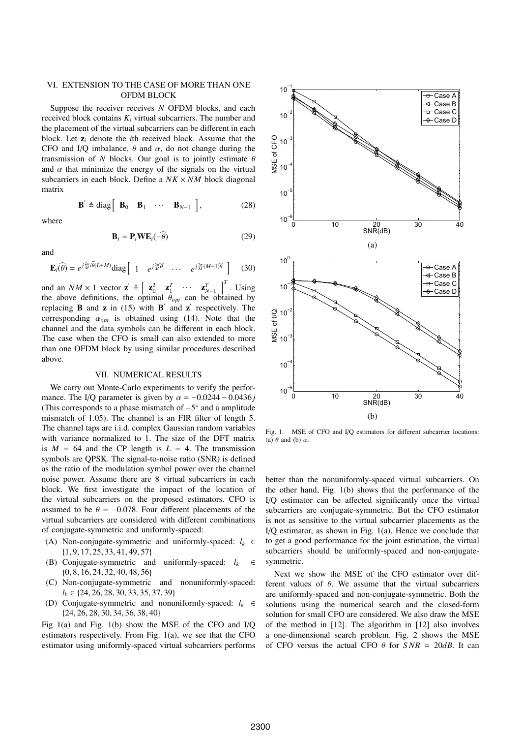## VI. EXTENSION TO THE CASE OF MORE THAN ONE OFDM BLOCK

Suppose the receiver receives *N* OFDM blocks, and each received block contains  $K_i$  virtual subcarriers. The number and the placement of the virtual subcarriers can be different in each block. Let z*<sup>i</sup>* denote the *i*th received block. Assume that the CFO and I/Q imbalance,  $\theta$  and  $\alpha$ , do not change during the transmission of *N* blocks. Our goal is to jointly estimate  $\theta$ and  $\alpha$  that minimize the energy of the signals on the virtual subcarriers in each block. Define a *NK* × *NM* block diagonal matrix

$$
\mathbf{B}' \triangleq \text{diag} \begin{bmatrix} \mathbf{B}_0 & \mathbf{B}_1 & \cdots & \mathbf{B}_{N-1} \end{bmatrix}, \qquad (28)
$$

where

$$
\mathbf{B}_i = \mathbf{P}_i \mathbf{W} \mathbf{E}_i(-\widehat{\theta}) \tag{29}
$$

and

$$
\mathbf{E}_{i}(\widehat{\theta}) = e^{j\frac{2\pi}{M}\widehat{i\theta}(L+M)} \text{diag} \begin{bmatrix} 1 & e^{j\frac{2\pi}{M}\widehat{\theta}} & \cdots & e^{j\frac{2\pi}{M}(M-1)\widehat{\theta}} \end{bmatrix}
$$
 (30)

and an  $NM \times 1$  vector  $\mathbf{z}' \triangleq \begin{bmatrix} \mathbf{z}_0^T & \mathbf{z}_1^T & \cdots & \mathbf{z}_{N-1}^T \end{bmatrix}^T$ . Using the above definitions, the optimal  $\theta_{opt}$  can be obtained by replacing **B** and **z** in (15) with **B**<sup> $\prime$ </sup> and **z**<sup> $\prime$ </sup> respectively. The corresponding  $\alpha_{opt}$  is obtained using (14). Note that the channel and the data symbols can be different in each block. The case when the CFO is small can also extended to more than one OFDM block by using similar procedures described above.

#### VII. NUMERICAL RESULTS

We carry out Monte-Carlo experiments to verify the performance. The I/Q parameter is given by  $\alpha = -0.0244 - 0.0436j$ (This corresponds to a phase mismatch of  $-5°$  and a amplitude mismatch of 1.05). The channel is an FIR filter of length 5. The channel taps are i.i.d. complex Gaussian random variables with variance normalized to 1. The size of the DFT matrix is  $M = 64$  and the CP length is  $L = 4$ . The transmission symbols are QPSK. The signal-to-noise ratio (SNR) is defined as the ratio of the modulation symbol power over the channel noise power. Assume there are 8 virtual subcarriers in each block. We first investigate the impact of the location of the virtual subcarriers on the proposed estimators. CFO is assumed to be  $\theta = -0.078$ . Four different placements of the virtual subcarriers are considered with different combinations of conjugate-symmetric and uniformly-spaced:

- (A) Non-conjugate-symmetric and uniformly-spaced:  $l_k \in$ {1, 9, 17, 25, 33, 41, 49, 57}
- (B) Conjugate-symmetric and uniformly-spaced: *lk* ∈ {0, 8, 16, 24, 32, 40, 48, 56}
- (C) Non-conjugate-symmetric and nonuniformly-spaced: *lk* ∈ {24, 26, 28, 30, 33, 35, 37, 39}
- (D) Conjugate-symmetric and nonuniformly-spaced: *lk* ∈ {24, 26, 28, 30, 34, 36, 38, 40}

Fig 1(a) and Fig. 1(b) show the MSE of the CFO and I/Q estimators respectively. From Fig. 1(a), we see that the CFO estimator using uniformly-spaced virtual subcarriers performs



Fig. 1. MSE of CFO and I/Q estimators for different subcarrier locations: (a)  $\theta$  and (b)  $\alpha$ .

better than the nonuniformly-spaced virtual subcarriers. On the other hand, Fig. 1(b) shows that the performance of the I/Q estimator can be affected significantly once the virtual subcarriers are conjugate-symmetric. But the CFO estimator is not as sensitive to the virtual subcarrier placements as the I/Q estimator, as shown in Fig. 1(a). Hence we conclude that to get a good performance for the joint estimation, the virtual subcarriers should be uniformly-spaced and non-conjugatesymmetric.

Next we show the MSE of the CFO estimator over different values of  $\theta$ . We assume that the virtual subcarriers are uniformly-spaced and non-conjugate-symmetric. Both the solutions using the numerical search and the closed-form solution for small CFO are considered. We also draw the MSE of the method in [12]. The algorithm in [12] also involves a one-dimensional search problem. Fig. 2 shows the MSE of CFO versus the actual CFO  $\theta$  for  $SNR = 20dB$ . It can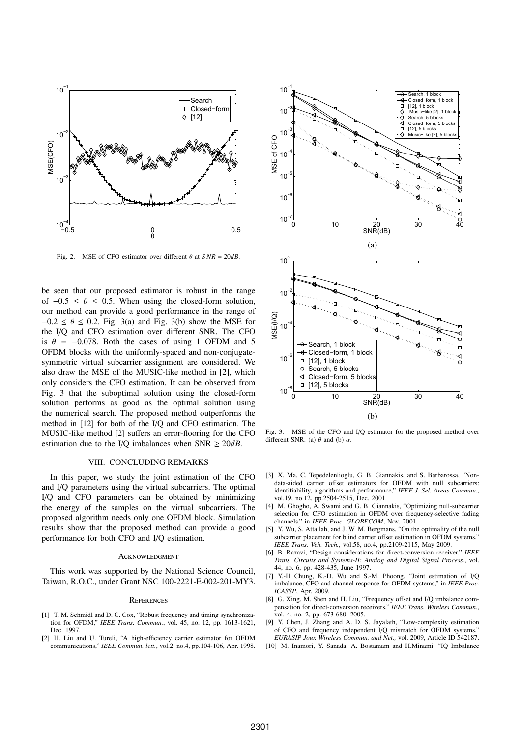

Fig. 2. MSE of CFO estimator over different  $\theta$  at  $SNR = 20dB$ .

be seen that our proposed estimator is robust in the range of  $-0.5 \le \theta \le 0.5$ . When using the closed-form solution, our method can provide a good performance in the range of  $-0.2 \le \theta \le 0.2$ . Fig. 3(a) and Fig. 3(b) show the MSE for the I/Q and CFO estimation over different SNR. The CFO is  $\theta = -0.078$ . Both the cases of using 1 OFDM and 5 OFDM blocks with the uniformly-spaced and non-conjugatesymmetric virtual subcarrier assignment are considered. We also draw the MSE of the MUSIC-like method in [2], which only considers the CFO estimation. It can be observed from Fig. 3 that the suboptimal solution using the closed-form solution performs as good as the optimal solution using the numerical search. The proposed method outperforms the method in [12] for both of the I/Q and CFO estimation. The MUSIC-like method [2] suffers an error-flooring for the CFO estimation due to the I/Q imbalances when  $SNR \ge 20dB$ .

## VIII. CONCLUDING REMARKS

In this paper, we study the joint estimation of the CFO and I/Q parameters using the virtual subcarriers. The optimal I/Q and CFO parameters can be obtained by minimizing the energy of the samples on the virtual subcarriers. The proposed algorithm needs only one OFDM block. Simulation results show that the proposed method can provide a good performance for both CFO and I/Q estimation.

#### **ACKNOWLEDGMENT**

This work was supported by the National Science Council, Taiwan, R.O.C., under Grant NSC 100-2221-E-002-201-MY3.

#### **REFERENCES**

- [1] T. M. Schmidl and D. C. Cox, "Robust frequency and timing synchronization for OFDM," *IEEE Trans. Commun.*, vol. 45, no. 12, pp. 1613-1621, Dec. 1997.
- [2] H. Liu and U. Tureli, "A high-efficiency carrier estimator for OFDM communications," *IEEE Commun. lett.*, vol.2, no.4, pp.104-106, Apr. 1998.



Fig. 3. MSE of the CFO and I/Q estimator for the proposed method over different SNR: (a)  $\theta$  and (b)  $\alpha$ .

- [3] X. Ma, C. Tepedelenlioglu, G. B. Giannakis, and S. Barbarossa, "Nondata-aided carrier offset estimators for OFDM with null subcarriers: identifiability, algorithms and performance," *IEEE J. Sel. Areas Commun.*, vol.19, no.12, pp.2504-2515, Dec. 2001.
- [4] M. Ghogho, A. Swami and G. B. Giannakis, "Optimizing null-subcarrier selection for CFO estimation in OFDM over frequency-selective fading channels," in *IEEE Proc. GLOBECOM*, Nov. 2001.
- [5] Y. Wu, S. Attallah, and J. W. M. Bergmans, "On the optimality of the null subcarrier placement for blind carrier offset estimation in OFDM systems," *IEEE Trans. Veh. Tech.*, vol.58, no.4, pp.2109-2115, May 2009.
- [6] B. Razavi, "Design considerations for direct-conversion receiver," *IEEE Trans. Circuits and Systems-II: Analog and Digital Signal Process.*, vol. 44, no. 6, pp. 428-435, June 1997.
- [7] Y.-H Chung, K.-D. Wu and S.-M. Phoong, "Joint estimation of I/Q imbalance, CFO and channel response for OFDM systems," in *IEEE Proc. ICASSP*, Apr. 2009.
- [8] G. Xing, M. Shen and H. Liu, "Frequency offset and I/Q imbalance compensation for direct-conversion receivers," *IEEE Trans. Wireless Commun.*, vol. 4, no. 2, pp. 673-680, 2005.
- [9] Y. Chen, J. Zhang and A. D. S. Jayalath, "Low-complexity estimation of CFO and frequency independent I/Q mismatch for OFDM systems," *EURASIP Jour. Wireless Commun. and Net.,* vol. 2009, Article ID 542187.
- [10] M. Inamori, Y. Sanada, A. Bostamam and H.Minami, "IQ Imbalance